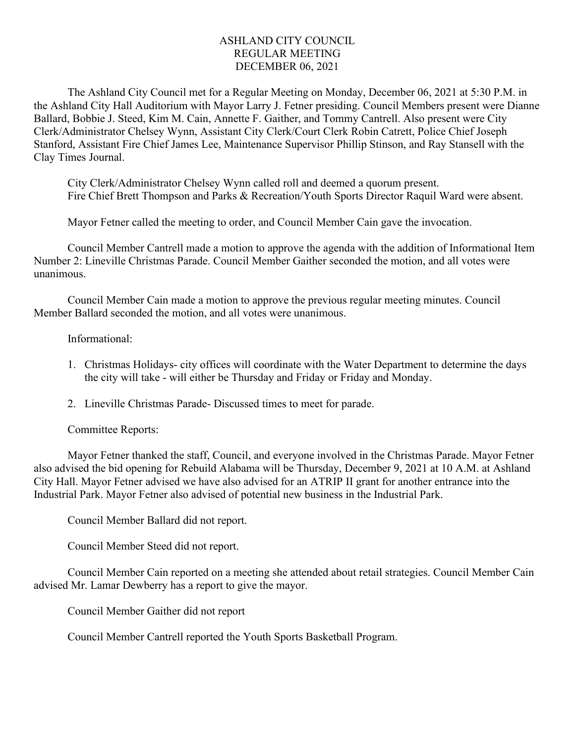## ASHLAND CITY COUNCIL REGULAR MEETING DECEMBER 06, 2021

The Ashland City Council met for a Regular Meeting on Monday, December 06, 2021 at 5:30 P.M. in the Ashland City Hall Auditorium with Mayor Larry J. Fetner presiding. Council Members present were Dianne Ballard, Bobbie J. Steed, Kim M. Cain, Annette F. Gaither, and Tommy Cantrell. Also present were City Clerk/Administrator Chelsey Wynn, Assistant City Clerk/Court Clerk Robin Catrett, Police Chief Joseph Stanford, Assistant Fire Chief James Lee, Maintenance Supervisor Phillip Stinson, and Ray Stansell with the Clay Times Journal.

City Clerk/Administrator Chelsey Wynn called roll and deemed a quorum present. Fire Chief Brett Thompson and Parks & Recreation/Youth Sports Director Raquil Ward were absent.

Mayor Fetner called the meeting to order, and Council Member Cain gave the invocation.

Council Member Cantrell made a motion to approve the agenda with the addition of Informational Item Number 2: Lineville Christmas Parade. Council Member Gaither seconded the motion, and all votes were unanimous.

Council Member Cain made a motion to approve the previous regular meeting minutes. Council Member Ballard seconded the motion, and all votes were unanimous.

## Informational:

- 1. Christmas Holidays- city offices will coordinate with the Water Department to determine the days the city will take - will either be Thursday and Friday or Friday and Monday.
- 2. Lineville Christmas Parade- Discussed times to meet for parade.

## Committee Reports:

Mayor Fetner thanked the staff, Council, and everyone involved in the Christmas Parade. Mayor Fetner also advised the bid opening for Rebuild Alabama will be Thursday, December 9, 2021 at 10 A.M. at Ashland City Hall. Mayor Fetner advised we have also advised for an ATRIP II grant for another entrance into the Industrial Park. Mayor Fetner also advised of potential new business in the Industrial Park.

Council Member Ballard did not report.

Council Member Steed did not report.

Council Member Cain reported on a meeting she attended about retail strategies. Council Member Cain advised Mr. Lamar Dewberry has a report to give the mayor.

Council Member Gaither did not report

Council Member Cantrell reported the Youth Sports Basketball Program.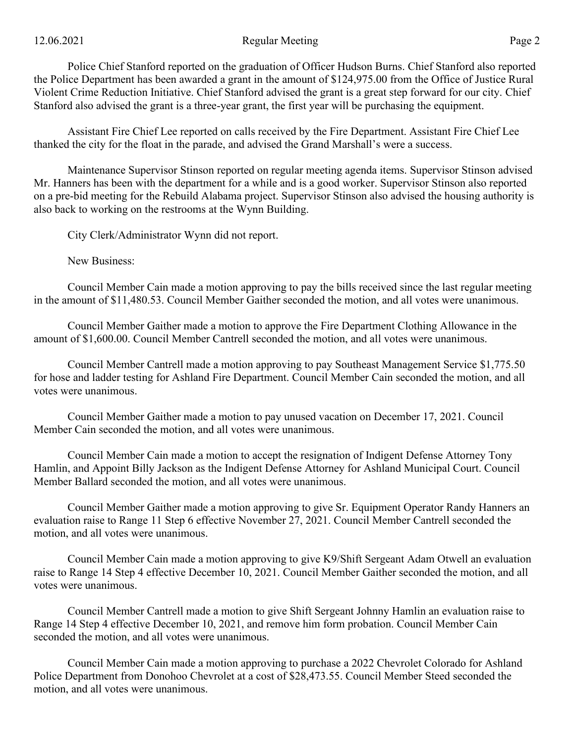Police Chief Stanford reported on the graduation of Officer Hudson Burns. Chief Stanford also reported the Police Department has been awarded a grant in the amount of \$124,975.00 from the Office of Justice Rural Violent Crime Reduction Initiative. Chief Stanford advised the grant is a great step forward for our city. Chief Stanford also advised the grant is a three-year grant, the first year will be purchasing the equipment.

Assistant Fire Chief Lee reported on calls received by the Fire Department. Assistant Fire Chief Lee thanked the city for the float in the parade, and advised the Grand Marshall's were a success.

Maintenance Supervisor Stinson reported on regular meeting agenda items. Supervisor Stinson advised Mr. Hanners has been with the department for a while and is a good worker. Supervisor Stinson also reported on a pre-bid meeting for the Rebuild Alabama project. Supervisor Stinson also advised the housing authority is also back to working on the restrooms at the Wynn Building.

City Clerk/Administrator Wynn did not report.

New Business:

Council Member Cain made a motion approving to pay the bills received since the last regular meeting in the amount of \$11,480.53. Council Member Gaither seconded the motion, and all votes were unanimous.

Council Member Gaither made a motion to approve the Fire Department Clothing Allowance in the amount of \$1,600.00. Council Member Cantrell seconded the motion, and all votes were unanimous.

Council Member Cantrell made a motion approving to pay Southeast Management Service \$1,775.50 for hose and ladder testing for Ashland Fire Department. Council Member Cain seconded the motion, and all votes were unanimous.

Council Member Gaither made a motion to pay unused vacation on December 17, 2021. Council Member Cain seconded the motion, and all votes were unanimous.

Council Member Cain made a motion to accept the resignation of Indigent Defense Attorney Tony Hamlin, and Appoint Billy Jackson as the Indigent Defense Attorney for Ashland Municipal Court. Council Member Ballard seconded the motion, and all votes were unanimous.

Council Member Gaither made a motion approving to give Sr. Equipment Operator Randy Hanners an evaluation raise to Range 11 Step 6 effective November 27, 2021. Council Member Cantrell seconded the motion, and all votes were unanimous.

Council Member Cain made a motion approving to give K9/Shift Sergeant Adam Otwell an evaluation raise to Range 14 Step 4 effective December 10, 2021. Council Member Gaither seconded the motion, and all votes were unanimous.

Council Member Cantrell made a motion to give Shift Sergeant Johnny Hamlin an evaluation raise to Range 14 Step 4 effective December 10, 2021, and remove him form probation. Council Member Cain seconded the motion, and all votes were unanimous.

Council Member Cain made a motion approving to purchase a 2022 Chevrolet Colorado for Ashland Police Department from Donohoo Chevrolet at a cost of \$28,473.55. Council Member Steed seconded the motion, and all votes were unanimous.